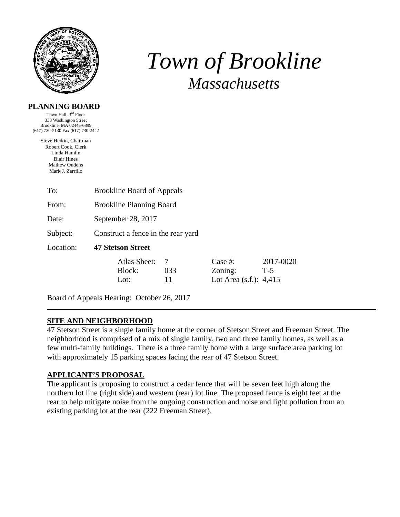

# *Town of Brookline Massachusetts*

#### **PLANNING BOARD**

Town Hall, 3rd Floor 333 Washington Street Brookline, MA 02445-6899 (617) 730-2130 Fax (617) 730-2442

> Steve Heikin, Chairman Robert Cook, Clerk Linda Hamlin Blair Hines Mathew Oudens Mark J. Zarrillo

| To:       | <b>Brookline Board of Appeals</b>  |                |                                                 |                    |  |  |
|-----------|------------------------------------|----------------|-------------------------------------------------|--------------------|--|--|
| From:     | <b>Brookline Planning Board</b>    |                |                                                 |                    |  |  |
| Date:     | September 28, 2017                 |                |                                                 |                    |  |  |
| Subject:  | Construct a fence in the rear yard |                |                                                 |                    |  |  |
| Location: | <b>47 Stetson Street</b>           |                |                                                 |                    |  |  |
|           | Atlas Sheet:<br>Block:<br>Lot:     | 7<br>033<br>11 | Case #:<br>Zoning:<br>Lot Area $(s.f.)$ : 4,415 | 2017-0020<br>$T-5$ |  |  |

Board of Appeals Hearing: October 26, 2017

#### **SITE AND NEIGHBORHOOD**

47 Stetson Street is a single family home at the corner of Stetson Street and Freeman Street. The neighborhood is comprised of a mix of single family, two and three family homes, as well as a few multi-family buildings. There is a three family home with a large surface area parking lot with approximately 15 parking spaces facing the rear of 47 Stetson Street.

#### **APPLICANT'S PROPOSAL**

The applicant is proposing to construct a cedar fence that will be seven feet high along the northern lot line (right side) and western (rear) lot line. The proposed fence is eight feet at the rear to help mitigate noise from the ongoing construction and noise and light pollution from an existing parking lot at the rear (222 Freeman Street).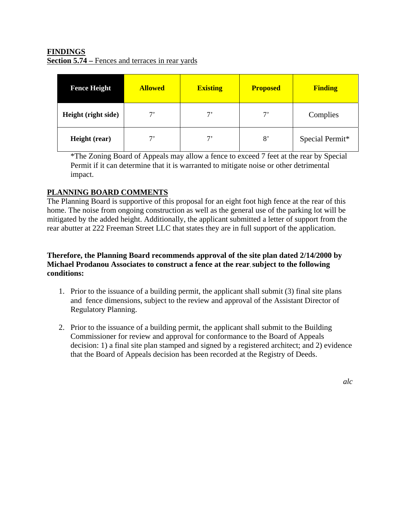## **FINDINGS Section 5.74** – Fences and terraces in rear yards

| <b>Fence Height</b> | <b>Allowed</b> | <b>Existing</b> | <b>Proposed</b> | <b>Finding</b>  |
|---------------------|----------------|-----------------|-----------------|-----------------|
| Height (right side) | 7'             | $7^{\circ}$     | $7^,$           | Complies        |
| Height (rear)       | 7,             | 7'              | 8'              | Special Permit* |

\*The Zoning Board of Appeals may allow a fence to exceed 7 feet at the rear by Special Permit if it can determine that it is warranted to mitigate noise or other detrimental impact.

## **PLANNING BOARD COMMENTS**

The Planning Board is supportive of this proposal for an eight foot high fence at the rear of this home. The noise from ongoing construction as well as the general use of the parking lot will be mitigated by the added height. Additionally, the applicant submitted a letter of support from the rear abutter at 222 Freeman Street LLC that states they are in full support of the application.

### **Therefore, the Planning Board recommends approval of the site plan dated 2/14/2000 by Michael Prodanou Associates to construct a fence at the rear**, **subject to the following conditions:**

- 1. Prior to the issuance of a building permit, the applicant shall submit (3) final site plans and fence dimensions, subject to the review and approval of the Assistant Director of Regulatory Planning.
- 2. Prior to the issuance of a building permit, the applicant shall submit to the Building Commissioner for review and approval for conformance to the Board of Appeals decision: 1) a final site plan stamped and signed by a registered architect; and 2) evidence that the Board of Appeals decision has been recorded at the Registry of Deeds.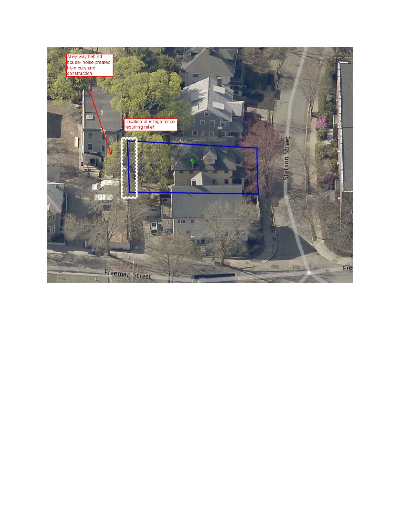